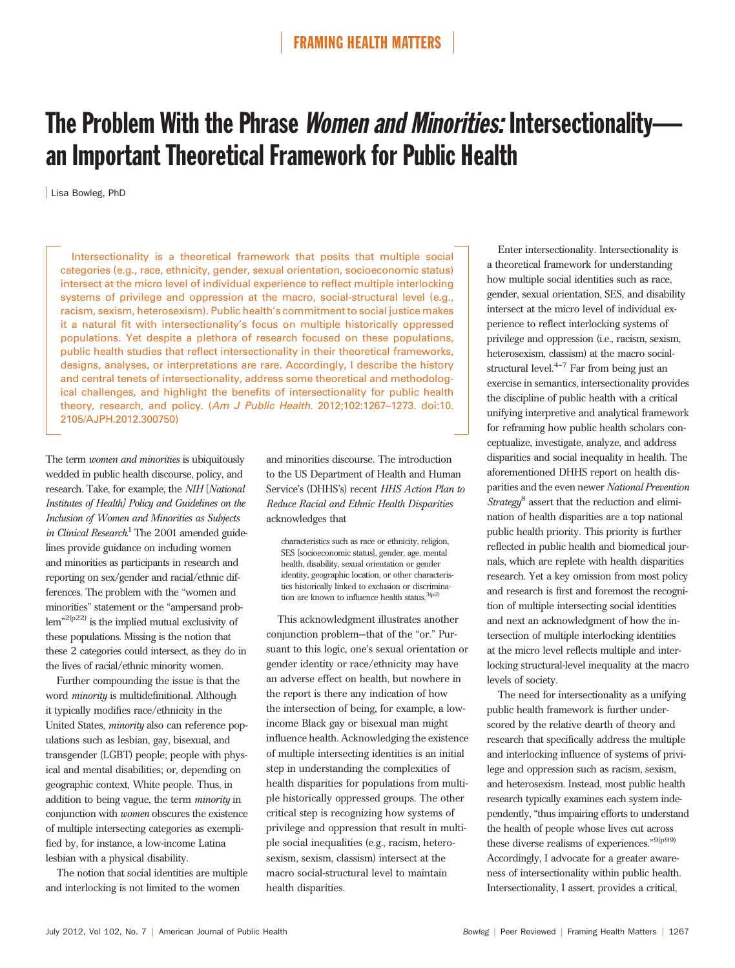# The Problem With the Phrase *Women and Minorities:* Intersectionality an Important Theoretical Framework for Public Health

Lisa Bowleg, PhD

Intersectionality is a theoretical framework that posits that multiple social categories (e.g., race, ethnicity, gender, sexual orientation, socioeconomic status) intersect at the micro level of individual experience to reflect multiple interlocking systems of privilege and oppression at the macro, social-structural level (e.g., racism, sexism, heterosexism). Public health's commitment to social justice makes it a natural fit with intersectionality's focus on multiple historically oppressed populations. Yet despite a plethora of research focused on these populations, public health studies that reflect intersectionality in their theoretical frameworks, designs, analyses, or interpretations are rare. Accordingly, I describe the history and central tenets of intersectionality, address some theoretical and methodological challenges, and highlight the benefits of intersectionality for public health theory, research, and policy. (Am J Public Health. 2012;102:1267–1273. doi:10. 2105/AJPH.2012.300750)

The term *women and minorities* is ubiquitously wedded in public health discourse, policy, and research. Take, for example, the NIH [National Institutes of Health] Policy and Guidelines on the Inclusion of Women and Minorities as Subjects in Clinical Research.<sup>1</sup> The 2001 amended guidelines provide guidance on including women and minorities as participants in research and reporting on sex/gender and racial/ethnic differences. The problem with the "women and minorities" statement or the "ampersand prob $lem''^{2(p22)}$  is the implied mutual exclusivity of these populations. Missing is the notion that these 2 categories could intersect, as they do in the lives of racial/ethnic minority women.

Further compounding the issue is that the word minority is multidefinitional. Although it typically modifies race/ethnicity in the United States, minority also can reference populations such as lesbian, gay, bisexual, and transgender (LGBT) people; people with physical and mental disabilities; or, depending on geographic context, White people. Thus, in addition to being vague, the term minority in conjunction with women obscures the existence of multiple intersecting categories as exemplified by, for instance, a low-income Latina lesbian with a physical disability.

The notion that social identities are multiple and interlocking is not limited to the women

and minorities discourse. The introduction to the US Department of Health and Human Service's (DHHS's) recent HHS Action Plan to Reduce Racial and Ethnic Health Disparities acknowledges that

characteristics such as race or ethnicity, religion, SES [socioeconomic status], gender, age, mental health, disability, sexual orientation or gender identity, geographic location, or other characteristics historically linked to exclusion or discrimination are known to influence health status. $3(p2)$ 

This acknowledgment illustrates another conjunction problem—that of the "or." Pursuant to this logic, one's sexual orientation or gender identity or race/ethnicity may have an adverse effect on health, but nowhere in the report is there any indication of how the intersection of being, for example, a lowincome Black gay or bisexual man might influence health. Acknowledging the existence of multiple intersecting identities is an initial step in understanding the complexities of health disparities for populations from multiple historically oppressed groups. The other critical step is recognizing how systems of privilege and oppression that result in multiple social inequalities (e.g., racism, heterosexism, sexism, classism) intersect at the macro social-structural level to maintain health disparities.

Enter intersectionality. Intersectionality is a theoretical framework for understanding how multiple social identities such as race, gender, sexual orientation, SES, and disability intersect at the micro level of individual experience to reflect interlocking systems of privilege and oppression (i.e., racism, sexism, heterosexism, classism) at the macro socialstructural level. $4-7$  Far from being just an exercise in semantics, intersectionality provides the discipline of public health with a critical unifying interpretive and analytical framework for reframing how public health scholars conceptualize, investigate, analyze, and address disparities and social inequality in health. The aforementioned DHHS report on health disparities and the even newer National Prevention Strategy<sup>8</sup> assert that the reduction and elimination of health disparities are a top national public health priority. This priority is further reflected in public health and biomedical journals, which are replete with health disparities research. Yet a key omission from most policy and research is first and foremost the recognition of multiple intersecting social identities and next an acknowledgment of how the intersection of multiple interlocking identities at the micro level reflects multiple and interlocking structural-level inequality at the macro levels of society.

The need for intersectionality as a unifying public health framework is further underscored by the relative dearth of theory and research that specifically address the multiple and interlocking influence of systems of privilege and oppression such as racism, sexism, and heterosexism. Instead, most public health research typically examines each system independently, "thus impairing efforts to understand the health of people whose lives cut across these diverse realisms of experiences."<sup>9(p99)</sup> Accordingly, I advocate for a greater awareness of intersectionality within public health. Intersectionality, I assert, provides a critical,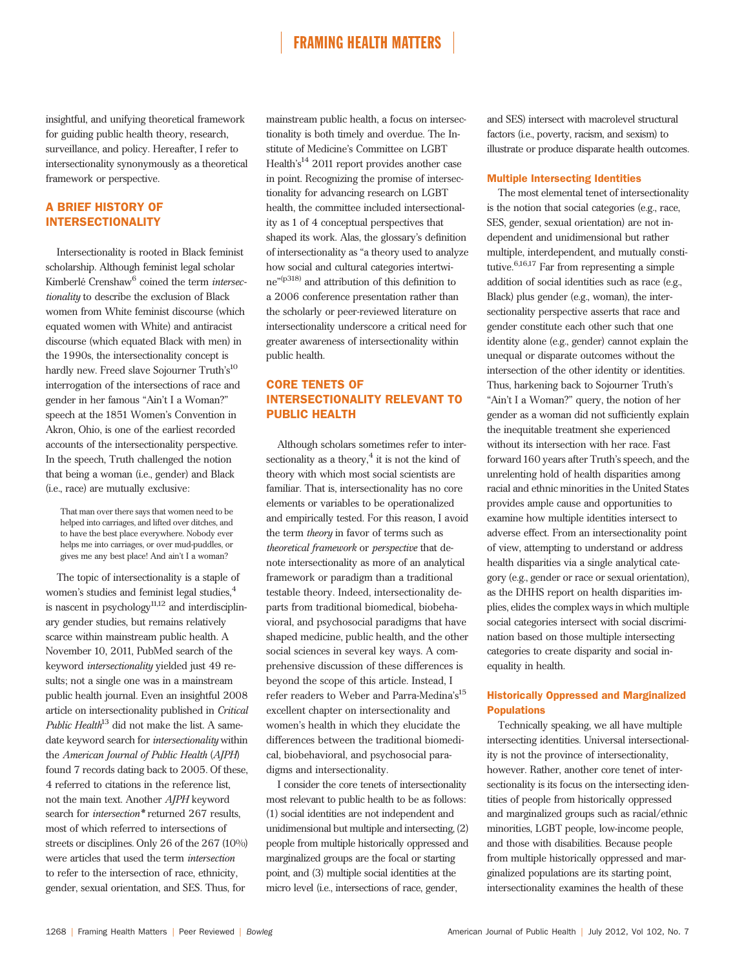insightful, and unifying theoretical framework for guiding public health theory, research, surveillance, and policy. Hereafter, I refer to intersectionality synonymously as a theoretical framework or perspective.

# A BRIEF HISTORY OF INTERSECTIONALITY

Intersectionality is rooted in Black feminist scholarship. Although feminist legal scholar Kimberlé Crenshaw<sup>6</sup> coined the term *intersec*tionality to describe the exclusion of Black women from White feminist discourse (which equated women with White) and antiracist discourse (which equated Black with men) in the 1990s, the intersectionality concept is hardly new. Freed slave Sojourner Truth's 10 interrogation of the intersections of race and gender in her famous "Ain't I a Woman?" speech at the 1851 Women's Convention in Akron, Ohio, is one of the earliest recorded accounts of the intersectionality perspective. In the speech, Truth challenged the notion that being a woman (i.e., gender) and Black (i.e., race) are mutually exclusive:

That man over there says that women need to be helped into carriages, and lifted over ditches, and to have the best place everywhere. Nobody ever helps me into carriages, or over mud-puddles, or gives me any best place! And ain't I a woman?

The topic of intersectionality is a staple of women's studies and feminist legal studies,<sup>4</sup> is nascent in psychology $11,12$  and interdisciplinary gender studies, but remains relatively scarce within mainstream public health. A November 10, 2011, PubMed search of the keyword intersectionality yielded just 49 results; not a single one was in a mainstream public health journal. Even an insightful 2008 article on intersectionality published in Critical Public Health<sup>13</sup> did not make the list. A samedate keyword search for intersectionality within the American Journal of Public Health (AJPH) found 7 records dating back to 2005. Of these, 4 referred to citations in the reference list, not the main text. Another AJPH keyword search for *intersection*<sup>\*</sup> returned 267 results, most of which referred to intersections of streets or disciplines. Only 26 of the 267 (10%) were articles that used the term intersection to refer to the intersection of race, ethnicity, gender, sexual orientation, and SES. Thus, for

mainstream public health, a focus on intersectionality is both timely and overdue. The Institute of Medicine's Committee on LGBT Health's<sup>14</sup> 2011 report provides another case in point. Recognizing the promise of intersectionality for advancing research on LGBT health, the committee included intersectionality as 1 of 4 conceptual perspectives that shaped its work. Alas, the glossary's definition of intersectionality as "a theory used to analyze how social and cultural categories intertwine" (p318) and attribution of this definition to a 2006 conference presentation rather than the scholarly or peer-reviewed literature on intersectionality underscore a critical need for greater awareness of intersectionality within public health.

# CORE TENETS OF INTERSECTIONALITY RELEVANT TO PUBLIC HEALTH

Although scholars sometimes refer to intersectionality as a theory, $4$  it is not the kind of theory with which most social scientists are familiar. That is, intersectionality has no core elements or variables to be operationalized and empirically tested. For this reason, I avoid the term theory in favor of terms such as theoretical framework or perspective that denote intersectionality as more of an analytical framework or paradigm than a traditional testable theory. Indeed, intersectionality departs from traditional biomedical, biobehavioral, and psychosocial paradigms that have shaped medicine, public health, and the other social sciences in several key ways. A comprehensive discussion of these differences is beyond the scope of this article. Instead, I refer readers to Weber and Parra-Medina's 15 excellent chapter on intersectionality and women's health in which they elucidate the differences between the traditional biomedical, biobehavioral, and psychosocial paradigms and intersectionality.

I consider the core tenets of intersectionality most relevant to public health to be as follows: (1) social identities are not independent and unidimensional but multiple and intersecting, (2) people from multiple historically oppressed and marginalized groups are the focal or starting point, and (3) multiple social identities at the micro level (i.e., intersections of race, gender,

and SES) intersect with macrolevel structural factors (i.e., poverty, racism, and sexism) to illustrate or produce disparate health outcomes.

### Multiple Intersecting Identities

The most elemental tenet of intersectionality is the notion that social categories (e.g., race, SES, gender, sexual orientation) are not independent and unidimensional but rather multiple, interdependent, and mutually constitutive.6,16,17 Far from representing a simple addition of social identities such as race (e.g., Black) plus gender (e.g., woman), the intersectionality perspective asserts that race and gender constitute each other such that one identity alone (e.g., gender) cannot explain the unequal or disparate outcomes without the intersection of the other identity or identities. Thus, harkening back to Sojourner Truth's "Ain't I a Woman?" query, the notion of her gender as a woman did not sufficiently explain the inequitable treatment she experienced without its intersection with her race. Fast forward 160 years after Truth's speech, and the unrelenting hold of health disparities among racial and ethnic minorities in the United States provides ample cause and opportunities to examine how multiple identities intersect to adverse effect. From an intersectionality point of view, attempting to understand or address health disparities via a single analytical category (e.g., gender or race or sexual orientation), as the DHHS report on health disparities implies, elides the complex ways in which multiple social categories intersect with social discrimination based on those multiple intersecting categories to create disparity and social inequality in health.

### Historically Oppressed and Marginalized **Populations**

Technically speaking, we all have multiple intersecting identities. Universal intersectionality is not the province of intersectionality, however. Rather, another core tenet of intersectionality is its focus on the intersecting identities of people from historically oppressed and marginalized groups such as racial/ethnic minorities, LGBT people, low-income people, and those with disabilities. Because people from multiple historically oppressed and marginalized populations are its starting point, intersectionality examines the health of these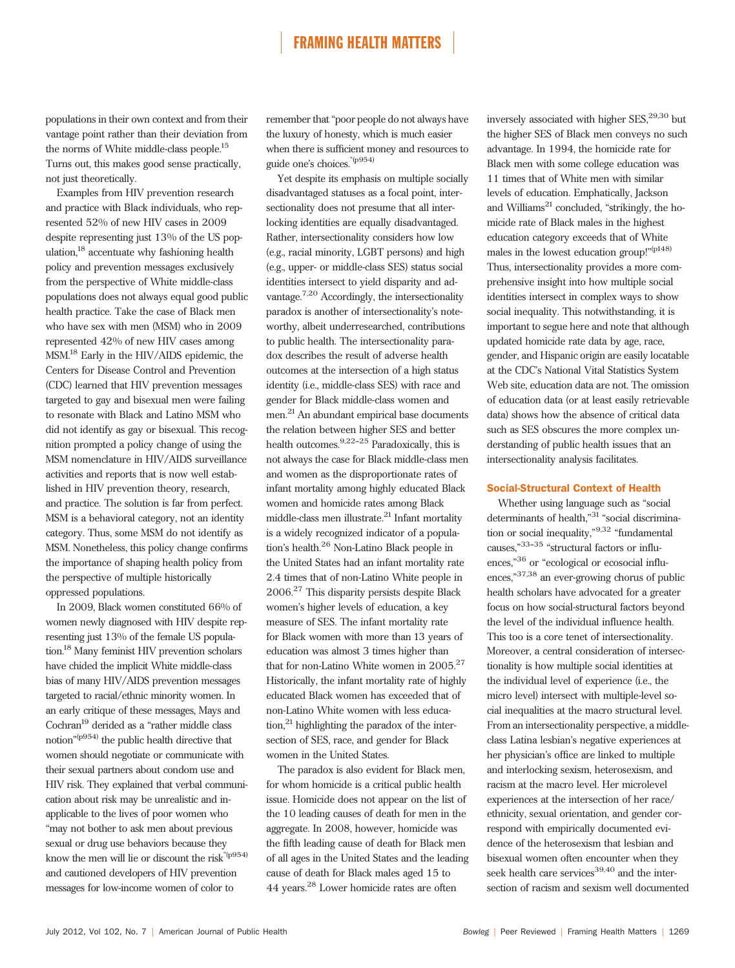populations in their own context and from their vantage point rather than their deviation from the norms of White middle-class people.15 Turns out, this makes good sense practically, not just theoretically.

Examples from HIV prevention research and practice with Black individuals, who represented 52% of new HIV cases in 2009 despite representing just 13% of the US population,18 accentuate why fashioning health policy and prevention messages exclusively from the perspective of White middle-class populations does not always equal good public health practice. Take the case of Black men who have sex with men (MSM) who in 2009 represented 42% of new HIV cases among MSM.18 Early in the HIV/AIDS epidemic, the Centers for Disease Control and Prevention (CDC) learned that HIV prevention messages targeted to gay and bisexual men were failing to resonate with Black and Latino MSM who did not identify as gay or bisexual. This recognition prompted a policy change of using the MSM nomenclature in HIV/AIDS surveillance activities and reports that is now well established in HIV prevention theory, research, and practice. The solution is far from perfect. MSM is a behavioral category, not an identity category. Thus, some MSM do not identify as MSM. Nonetheless, this policy change confirms the importance of shaping health policy from the perspective of multiple historically oppressed populations.

In 2009, Black women constituted 66% of women newly diagnosed with HIV despite representing just 13% of the female US population.18 Many feminist HIV prevention scholars have chided the implicit White middle-class bias of many HIV/AIDS prevention messages targeted to racial/ethnic minority women. In an early critique of these messages, Mays and  $\mbox{Cochran}^{19}$  derided as a "rather middle class notion" (p954) the public health directive that women should negotiate or communicate with their sexual partners about condom use and HIV risk. They explained that verbal communication about risk may be unrealistic and inapplicable to the lives of poor women who "may not bother to ask men about previous sexual or drug use behaviors because they know the men will lie or discount the risk  $^{\!\!\textrm{''(p954)}}$ and cautioned developers of HIV prevention messages for low-income women of color to

remember that "poor people do not always have the luxury of honesty, which is much easier when there is sufficient money and resources to guide one's choices."(p954)

Yet despite its emphasis on multiple socially disadvantaged statuses as a focal point, intersectionality does not presume that all interlocking identities are equally disadvantaged. Rather, intersectionality considers how low (e.g., racial minority, LGBT persons) and high (e.g., upper- or middle-class SES) status social identities intersect to yield disparity and advantage.7,20 Accordingly, the intersectionality paradox is another of intersectionality's noteworthy, albeit underresearched, contributions to public health. The intersectionality paradox describes the result of adverse health outcomes at the intersection of a high status identity (i.e., middle-class SES) with race and gender for Black middle-class women and men.21An abundant empirical base documents the relation between higher SES and better health outcomes.  $9,22-25$  Paradoxically, this is not always the case for Black middle-class men and women as the disproportionate rates of infant mortality among highly educated Black women and homicide rates among Black middle-class men illustrate. $^{21}$  Infant mortality is a widely recognized indicator of a population's health.<sup>26</sup> Non-Latino Black people in the United States had an infant mortality rate 2.4 times that of non-Latino White people in 2006.<sup>27</sup> This disparity persists despite Black women's higher levels of education, a key measure of SES. The infant mortality rate for Black women with more than 13 years of education was almost 3 times higher than that for non-Latino White women in 2005.<sup>27</sup> Historically, the infant mortality rate of highly educated Black women has exceeded that of non-Latino White women with less educa- $\mu$ <sub>21</sub> highlighting the paradox of the intersection of SES, race, and gender for Black women in the United States.

The paradox is also evident for Black men, for whom homicide is a critical public health issue. Homicide does not appear on the list of the 10 leading causes of death for men in the aggregate. In 2008, however, homicide was the fifth leading cause of death for Black men of all ages in the United States and the leading cause of death for Black males aged 15 to 44 years.<sup>28</sup> Lower homicide rates are often

inversely associated with higher  $SES<sub>1</sub><sup>29,30</sup>$  but the higher SES of Black men conveys no such advantage. In 1994, the homicide rate for Black men with some college education was 11 times that of White men with similar levels of education. Emphatically, Jackson and Williams<sup>21</sup> concluded, "strikingly, the homicide rate of Black males in the highest education category exceeds that of White males in the lowest education group!"<sup>(p148)</sup> Thus, intersectionality provides a more comprehensive insight into how multiple social identities intersect in complex ways to show social inequality. This notwithstanding, it is important to segue here and note that although updated homicide rate data by age, race, gender, and Hispanic origin are easily locatable at the CDC's National Vital Statistics System Web site, education data are not. The omission of education data (or at least easily retrievable data) shows how the absence of critical data such as SES obscures the more complex understanding of public health issues that an intersectionality analysis facilitates.

### Social-Structural Context of Health

Whether using language such as "social determinants of health,"<sup>31</sup> "social discrimination or social inequality,"<sup>9,32</sup> "fundamental causes,"33-35 "structural factors or influences,"<sup>36</sup> or "ecological or ecosocial influences," 37,38 an ever-growing chorus of public health scholars have advocated for a greater focus on how social-structural factors beyond the level of the individual influence health. This too is a core tenet of intersectionality. Moreover, a central consideration of intersectionality is how multiple social identities at the individual level of experience (i.e., the micro level) intersect with multiple-level social inequalities at the macro structural level. From an intersectionality perspective, a middleclass Latina lesbian's negative experiences at her physician's office are linked to multiple and interlocking sexism, heterosexism, and racism at the macro level. Her microlevel experiences at the intersection of her race/ ethnicity, sexual orientation, and gender correspond with empirically documented evidence of the heterosexism that lesbian and bisexual women often encounter when they seek health care services $^{39,40}$  and the intersection of racism and sexism well documented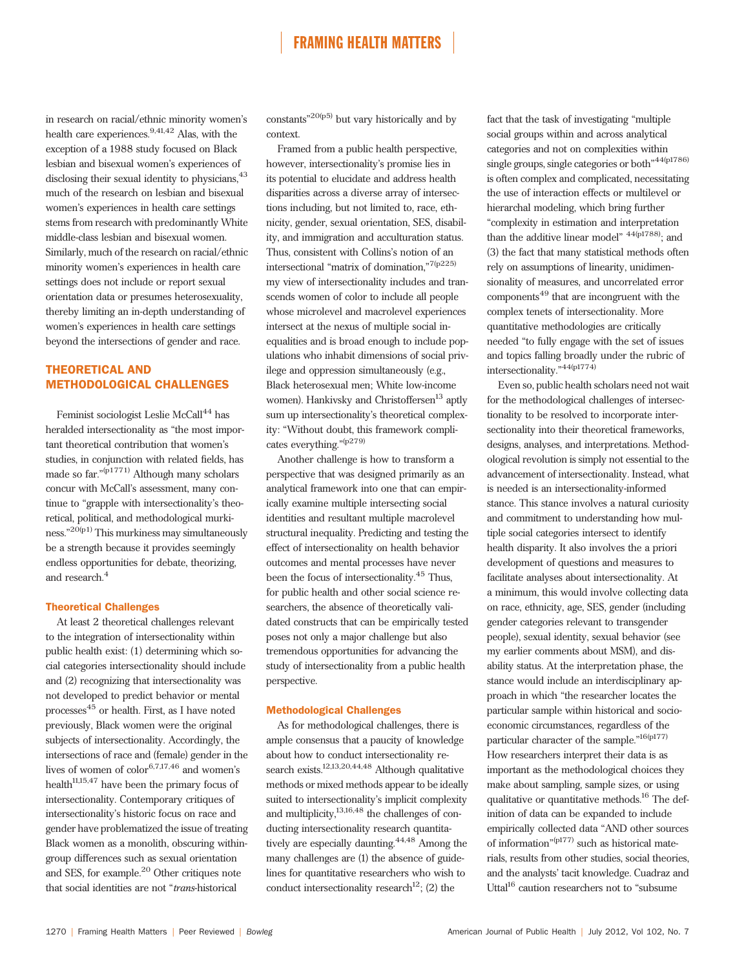in research on racial/ethnic minority women's health care experiences.<sup>9,41,42</sup> Alas, with the exception of a 1988 study focused on Black lesbian and bisexual women's experiences of disclosing their sexual identity to physicians,  $43$ much of the research on lesbian and bisexual women's experiences in health care settings stems from research with predominantly White middle-class lesbian and bisexual women. Similarly, much of the research on racial/ethnic minority women's experiences in health care settings does not include or report sexual orientation data or presumes heterosexuality, thereby limiting an in-depth understanding of women's experiences in health care settings beyond the intersections of gender and race.

### THEORETICAL AND METHODOLOGICAL CHALLENGES

Feminist sociologist Leslie McCall<sup>44</sup> has heralded intersectionality as "the most important theoretical contribution that women's studies, in conjunction with related fields, has made so far."<sup>(p1771)</sup> Although many scholars concur with McCall's assessment, many continue to "grapple with intersectionality's theoretical, political, and methodological murkiness." 20(p1) This murkiness may simultaneously be a strength because it provides seemingly endless opportunities for debate, theorizing, and research.<sup>4</sup>

### Theoretical Challenges

At least 2 theoretical challenges relevant to the integration of intersectionality within public health exist: (1) determining which social categories intersectionality should include and (2) recognizing that intersectionality was not developed to predict behavior or mental processes<sup>45</sup> or health. First, as I have noted previously, Black women were the original subjects of intersectionality. Accordingly, the intersections of race and (female) gender in the lives of women of  $color^{6,7,17,46}$  and women's health<sup>11,15,47</sup> have been the primary focus of intersectionality. Contemporary critiques of intersectionality's historic focus on race and gender have problematized the issue of treating Black women as a monolith, obscuring withingroup differences such as sexual orientation and SES, for example.<sup>20</sup> Other critiques note that social identities are not "trans-historical

constants"<sup>20(p5)</sup> but vary historically and by context.

Framed from a public health perspective, however, intersectionality's promise lies in its potential to elucidate and address health disparities across a diverse array of intersections including, but not limited to, race, ethnicity, gender, sexual orientation, SES, disability, and immigration and acculturation status. Thus, consistent with Collins's notion of an intersectional "matrix of domination," 7(p225) my view of intersectionality includes and transcends women of color to include all people whose microlevel and macrolevel experiences intersect at the nexus of multiple social inequalities and is broad enough to include populations who inhabit dimensions of social privilege and oppression simultaneously (e.g., Black heterosexual men; White low-income women). Hankivsky and Christoffersen<sup>13</sup> aptly sum up intersectionality's theoretical complexity: "Without doubt, this framework complicates everything."<sup>(p279)</sup>

Another challenge is how to transform a perspective that was designed primarily as an analytical framework into one that can empirically examine multiple intersecting social identities and resultant multiple macrolevel structural inequality. Predicting and testing the effect of intersectionality on health behavior outcomes and mental processes have never been the focus of intersectionality.<sup>45</sup> Thus, for public health and other social science researchers, the absence of theoretically validated constructs that can be empirically tested poses not only a major challenge but also tremendous opportunities for advancing the study of intersectionality from a public health perspective.

#### Methodological Challenges

As for methodological challenges, there is ample consensus that a paucity of knowledge about how to conduct intersectionality research exists.<sup>12,13,20,44,48</sup> Although qualitative methods or mixed methods appear to be ideally suited to intersectionality's implicit complexity and multiplicity, $13,16,48$  the challenges of conducting intersectionality research quantitatively are especially daunting.<sup>44,48</sup> Among the many challenges are (1) the absence of guidelines for quantitative researchers who wish to conduct intersectionality research<sup>12</sup>; (2) the

fact that the task of investigating "multiple social groups within and across analytical categories and not on complexities within single groups, single categories or both"<sup>44(p1786)</sup> is often complex and complicated, necessitating the use of interaction effects or multilevel or hierarchal modeling, which bring further "complexity in estimation and interpretation than the additive linear model" <sup>44(p1788)</sup>; and (3) the fact that many statistical methods often rely on assumptions of linearity, unidimensionality of measures, and uncorrelated error components<sup>49</sup> that are incongruent with the complex tenets of intersectionality. More quantitative methodologies are critically needed "to fully engage with the set of issues and topics falling broadly under the rubric of intersectionality." <sup>44(p1774)</sup>

Even so, public health scholars need not wait for the methodological challenges of intersectionality to be resolved to incorporate intersectionality into their theoretical frameworks, designs, analyses, and interpretations. Methodological revolution is simply not essential to the advancement of intersectionality. Instead, what is needed is an intersectionality-informed stance. This stance involves a natural curiosity and commitment to understanding how multiple social categories intersect to identify health disparity. It also involves the a priori development of questions and measures to facilitate analyses about intersectionality. At a minimum, this would involve collecting data on race, ethnicity, age, SES, gender (including gender categories relevant to transgender people), sexual identity, sexual behavior (see my earlier comments about MSM), and disability status. At the interpretation phase, the stance would include an interdisciplinary approach in which "the researcher locates the particular sample within historical and socioeconomic circumstances, regardless of the particular character of the sample."<sup>16(p177)</sup> How researchers interpret their data is as important as the methodological choices they make about sampling, sample sizes, or using qualitative or quantitative methods.<sup>16</sup> The definition of data can be expanded to include empirically collected data "AND other sources of information"<sup>(p177)</sup> such as historical materials, results from other studies, social theories, and the analysts' tacit knowledge. Cuadraz and Uttal<sup>16</sup> caution researchers not to "subsume"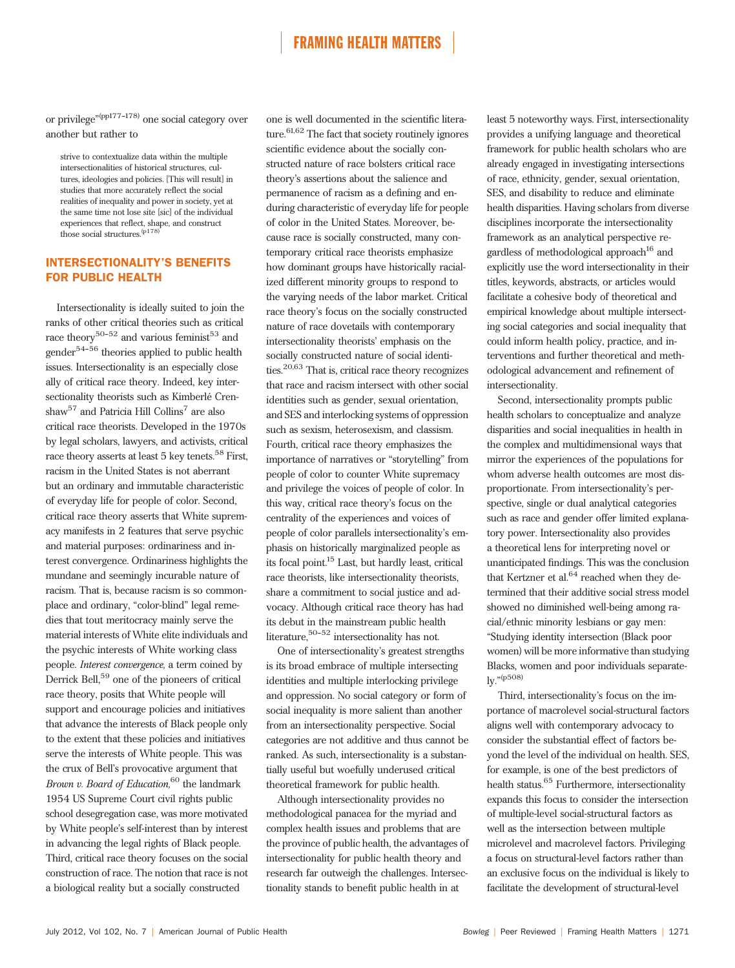or privilege"<sup>(pp177-178)</sup> one social category over another but rather to

strive to contextualize data within the multiple intersectionalities of historical structures, cultures, ideologies and policies. [This will result] in studies that more accurately reflect the social realities of inequality and power in society, yet at the same time not lose site [sic] of the individual experiences that reflect, shape, and construct those social structures. $(p178)$ 

### INTERSECTIONALITY'S BENEFITS FOR PUBLIC HEALTH

Intersectionality is ideally suited to join the ranks of other critical theories such as critical race theory<sup>50-52</sup> and various feminist<sup>53</sup> and  $gender<sup>54-56</sup>$  theories applied to public health issues. Intersectionality is an especially close ally of critical race theory. Indeed, key intersectionality theorists such as Kimberlé Crenshaw<sup>57</sup> and Patricia Hill Collins<sup>7</sup> are also critical race theorists. Developed in the 1970s by legal scholars, lawyers, and activists, critical race theory asserts at least 5 key tenets.<sup>58</sup> First, racism in the United States is not aberrant but an ordinary and immutable characteristic of everyday life for people of color. Second, critical race theory asserts that White supremacy manifests in 2 features that serve psychic and material purposes: ordinariness and interest convergence. Ordinariness highlights the mundane and seemingly incurable nature of racism. That is, because racism is so commonplace and ordinary, "color-blind" legal remedies that tout meritocracy mainly serve the material interests of White elite individuals and the psychic interests of White working class people. Interest convergence, a term coined by Derrick Bell,<sup>59</sup> one of the pioneers of critical race theory, posits that White people will support and encourage policies and initiatives that advance the interests of Black people only to the extent that these policies and initiatives serve the interests of White people. This was the crux of Bell's provocative argument that Brown v. Board of Education,  $60$  the landmark 1954 US Supreme Court civil rights public school desegregation case, was more motivated by White people's self-interest than by interest in advancing the legal rights of Black people. Third, critical race theory focuses on the social construction of race. The notion that race is not a biological reality but a socially constructed

one is well documented in the scientific literature.<sup>61,62</sup> The fact that society routinely ignores scientific evidence about the socially constructed nature of race bolsters critical race theory's assertions about the salience and permanence of racism as a defining and enduring characteristic of everyday life for people of color in the United States. Moreover, because race is socially constructed, many contemporary critical race theorists emphasize how dominant groups have historically racialized different minority groups to respond to the varying needs of the labor market. Critical race theory's focus on the socially constructed nature of race dovetails with contemporary intersectionality theorists' emphasis on the socially constructed nature of social identities.20,63 That is, critical race theory recognizes that race and racism intersect with other social identities such as gender, sexual orientation, and SES and interlocking systems of oppression such as sexism, heterosexism, and classism. Fourth, critical race theory emphasizes the importance of narratives or "storytelling" from people of color to counter White supremacy and privilege the voices of people of color. In this way, critical race theory's focus on the centrality of the experiences and voices of people of color parallels intersectionality's emphasis on historically marginalized people as its focal point.<sup>15</sup> Last, but hardly least, critical race theorists, like intersectionality theorists, share a commitment to social justice and advocacy. Although critical race theory has had its debut in the mainstream public health literature,  $50-52$  intersectionality has not.

One of intersectionality's greatest strengths is its broad embrace of multiple intersecting identities and multiple interlocking privilege and oppression. No social category or form of social inequality is more salient than another from an intersectionality perspective. Social categories are not additive and thus cannot be ranked. As such, intersectionality is a substantially useful but woefully underused critical theoretical framework for public health.

Although intersectionality provides no methodological panacea for the myriad and complex health issues and problems that are the province of public health, the advantages of intersectionality for public health theory and research far outweigh the challenges. Intersectionality stands to benefit public health in at

least 5 noteworthy ways. First, intersectionality provides a unifying language and theoretical framework for public health scholars who are already engaged in investigating intersections of race, ethnicity, gender, sexual orientation, SES, and disability to reduce and eliminate health disparities. Having scholars from diverse disciplines incorporate the intersectionality framework as an analytical perspective regardless of methodological approach<sup>16</sup> and explicitly use the word intersectionality in their titles, keywords, abstracts, or articles would facilitate a cohesive body of theoretical and empirical knowledge about multiple intersecting social categories and social inequality that could inform health policy, practice, and interventions and further theoretical and methodological advancement and refinement of intersectionality.

Second, intersectionality prompts public health scholars to conceptualize and analyze disparities and social inequalities in health in the complex and multidimensional ways that mirror the experiences of the populations for whom adverse health outcomes are most disproportionate. From intersectionality's perspective, single or dual analytical categories such as race and gender offer limited explanatory power. Intersectionality also provides a theoretical lens for interpreting novel or unanticipated findings. This was the conclusion that Kertzner et al. $64$  reached when they determined that their additive social stress model showed no diminished well-being among racial/ethnic minority lesbians or gay men: "Studying identity intersection (Black poor women) will be more informative than studying Blacks, women and poor individuals separately." (p508)

Third, intersectionality's focus on the importance of macrolevel social-structural factors aligns well with contemporary advocacy to consider the substantial effect of factors beyond the level of the individual on health. SES, for example, is one of the best predictors of health status.<sup>65</sup> Furthermore, intersectionality expands this focus to consider the intersection of multiple-level social-structural factors as well as the intersection between multiple microlevel and macrolevel factors. Privileging a focus on structural-level factors rather than an exclusive focus on the individual is likely to facilitate the development of structural-level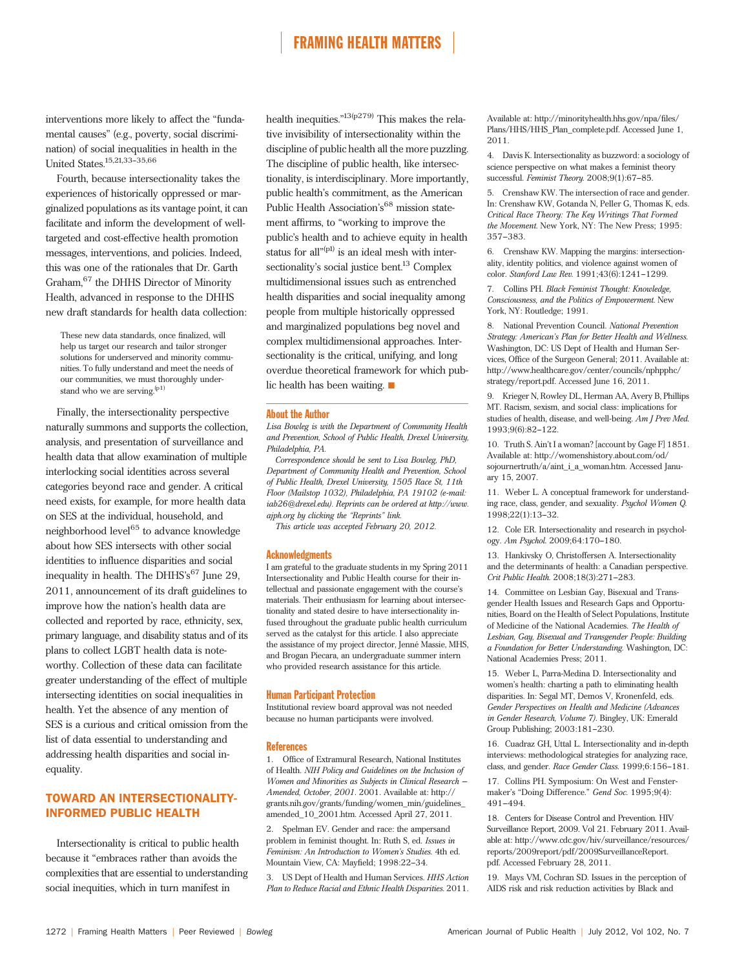interventions more likely to affect the "fundamental causes" (e.g., poverty, social discrimination) of social inequalities in health in the United States.<sup>15,21,33-35,66</sup>

Fourth, because intersectionality takes the experiences of historically oppressed or marginalized populations as its vantage point, it can facilitate and inform the development of welltargeted and cost-effective health promotion messages, interventions, and policies. Indeed, this was one of the rationales that Dr. Garth Graham,<sup>67</sup> the DHHS Director of Minority Health, advanced in response to the DHHS new draft standards for health data collection:

These new data standards, once finalized, will help us target our research and tailor stronger solutions for underserved and minority communities. To fully understand and meet the needs of our communities, we must thoroughly understand who we are serving.<sup>(p1)</sup>

Finally, the intersectionality perspective naturally summons and supports the collection, analysis, and presentation of surveillance and health data that allow examination of multiple interlocking social identities across several categories beyond race and gender. A critical need exists, for example, for more health data on SES at the individual, household, and neighborhood level<sup>65</sup> to advance knowledge about how SES intersects with other social identities to influence disparities and social inequality in health. The DHHS's <sup>67</sup> June 29, 2011, announcement of its draft guidelines to improve how the nation's health data are collected and reported by race, ethnicity, sex, primary language, and disability status and of its plans to collect LGBT health data is noteworthy. Collection of these data can facilitate greater understanding of the effect of multiple intersecting identities on social inequalities in health. Yet the absence of any mention of SES is a curious and critical omission from the list of data essential to understanding and addressing health disparities and social inequality.

## TOWARD AN INTERSECTIONALITY-INFORMED PUBLIC HEALTH

Intersectionality is critical to public health because it "embraces rather than avoids the complexities that are essential to understanding social inequities, which in turn manifest in

health inequities."<sup>13(p279)</sup> This makes the relative invisibility of intersectionality within the discipline of public health all the more puzzling. The discipline of public health, like intersectionality, is interdisciplinary. More importantly, public health's commitment, as the American Public Health Association's <sup>68</sup> mission statement affirms, to "working to improve the public's health and to achieve equity in health status for all"<sup>(p1)</sup> is an ideal mesh with intersectionality's social justice bent.<sup>13</sup> Complex multidimensional issues such as entrenched health disparities and social inequality among people from multiple historically oppressed and marginalized populations beg novel and complex multidimensional approaches. Intersectionality is the critical, unifying, and long overdue theoretical framework for which public health has been waiting.  $\blacksquare$ 

#### About the Author

Lisa Bowleg is with the Department of Community Health and Prevention, School of Public Health, Drexel University, Philadelphia, PA.

Correspondence should be sent to Lisa Bowleg, PhD, Department of Community Health and Prevention, School of Public Health, Drexel University, 1505 Race St, 11th Floor (Mailstop 1032), Philadelphia, PA 19102 (e-mail: [iab26@drexel.edu\)](mailto:iab26@drexel.edu). Reprints can be ordered at http://www. ajph.org by clicking the "Reprints" link.

This article was accepted February 20, 2012.

### **Acknowledgments**

I am grateful to the graduate students in my Spring 2011 Intersectionality and Public Health course for their intellectual and passionate engagement with the course's materials. Their enthusiasm for learning about intersectionality and stated desire to have intersectionality infused throughout the graduate public health curriculum served as the catalyst for this article. I also appreciate the assistance of my project director, Jenné Massie, MHS, and Brogan Piecara, an undergraduate summer intern who provided research assistance for this article.

### Human Participant Protection

Institutional review board approval was not needed because no human participants were involved.

#### References

1. Office of Extramural Research, National Institutes of Health. NIH Policy and Guidelines on the Inclusion of Women and Minorities as Subjects in Clinical Research --Amended, October, 2001. 2001. Available at: [http://](http://grants.nih.gov/grants/funding/women_min/guidelines_amended_10_2001.htm) [grants.nih.gov/grants/funding/women\\_min/guidelines\\_](http://grants.nih.gov/grants/funding/women_min/guidelines_amended_10_2001.htm) [amended\\_10\\_2001.htm.](http://grants.nih.gov/grants/funding/women_min/guidelines_amended_10_2001.htm) Accessed April 27, 2011.

2. Spelman EV. Gender and race: the ampersand problem in feminist thought. In: Ruth S, ed. Issues in Feminism: An Introduction to Women's Studies. 4th ed. Mountain View, CA: Mayfield; 1998:22-34.

US Dept of Health and Human Services. HHS Action Plan to Reduce Racial and Ethnic Health Disparities. 2011.

Available at: [http://minorityhealth.hhs.gov/npa/](http://minorityhealth.hhs.gov/npa/files/Plans/HHS/HHS_Plan_complete.pdf)files/ [Plans/HHS/HHS\\_Plan\\_complete.pdf.](http://minorityhealth.hhs.gov/npa/files/Plans/HHS/HHS_Plan_complete.pdf) Accessed June 1, 2011.

4. Davis K. Intersectionality as buzzword: a sociology of science perspective on what makes a feminist theory successful. Feminist Theory. 2008;9(1):67-85.

5. Crenshaw KW. The intersection of race and gender. In: Crenshaw KW, Gotanda N, Peller G, Thomas K, eds. Critical Race Theory: The Key Writings That Formed the Movement. New York, NY: The New Press; 1995: 357-383

6. Crenshaw KW. Mapping the margins: intersectionality, identity politics, and violence against women of color. Stanford Law Rev. 1991;43(6):1241-1299.

7. Collins PH. Black Feminist Thought: Knowledge, Consciousness, and the Politics of Empowerment. New York, NY: Routledge; 1991.

8. National Prevention Council. National Prevention Strategy: American's Plan for Better Health and Wellness. Washington, DC: US Dept of Health and Human Services, Office of the Surgeon General; 2011. Available at: [http://www.healthcare.gov/center/councils/nphpphc/](http://www.healthcare.gov/center/councils/nphpphc/strategy/report.pdf) [strategy/report.pdf](http://www.healthcare.gov/center/councils/nphpphc/strategy/report.pdf). Accessed June 16, 2011.

9. Krieger N, Rowley DL, Herman AA, Avery B, Phillips MT. Racism, sexism, and social class: implications for studies of health, disease, and well-being. Am J Prev Med. 1993;9(6):82-122.

10. Truth S. Ain't I a woman? [account by Gage F] 1851. Available at: [http://womenshistory.about.com/od/](http://womenshistory.about.com/od/sojournertruth/a/aint_i_a_woman.htm) [sojournertruth/a/aint\\_i\\_a\\_woman.htm](http://womenshistory.about.com/od/sojournertruth/a/aint_i_a_woman.htm). Accessed January 15, 2007.

11. Weber L. A conceptual framework for understanding race, class, gender, and sexuality. Psychol Women Q. 1998;22(1):13-32.

12. Cole ER. Intersectionality and research in psychology. Am Psychol. 2009;64:170-180.

13. Hankivsky O, Christoffersen A. Intersectionality and the determinants of health: a Canadian perspective. Crit Public Health. 2008;18(3):271-283.

14. Committee on Lesbian Gay, Bisexual and Transgender Health Issues and Research Gaps and Opportunities, Board on the Health of Select Populations, Institute of Medicine of the National Academies. The Health of Lesbian, Gay, Bisexual and Transgender People: Building a Foundation for Better Understanding. Washington, DC: National Academies Press; 2011.

15. Weber L, Parra-Medina D. Intersectionality and women's health: charting a path to eliminating health disparities. In: Segal MT, Demos V, Kronenfeld, eds. Gender Perspectives on Health and Medicine (Advances in Gender Research, Volume 7). Bingley, UK: Emerald Group Publishing; 2003:181-230.

16. Cuadraz GH, Uttal L. Intersectionality and in-depth interviews: methodological strategies for analyzing race, class, and gender. Race Gender Class. 1999;6:156-181.

17. Collins PH. Symposium: On West and Fenstermaker's "Doing Difference." Gend Soc. 1995;9(4): 491-494.

18. Centers for Disease Control and Prevention. HIV Surveillance Report, 2009. Vol 21. February 2011. Available at: [http://www.cdc.gov/hiv/surveillance/resources/](http://www.cdc.gov/hiv/surveillance/resources/reports/2009report/pdf/2009SurveillanceReport.pdf) [reports/2009report/pdf/2009SurveillanceReport.](http://www.cdc.gov/hiv/surveillance/resources/reports/2009report/pdf/2009SurveillanceReport.pdf) [pdf](http://www.cdc.gov/hiv/surveillance/resources/reports/2009report/pdf/2009SurveillanceReport.pdf). Accessed February 28, 2011.

19. Mays VM, Cochran SD. Issues in the perception of AIDS risk and risk reduction activities by Black and